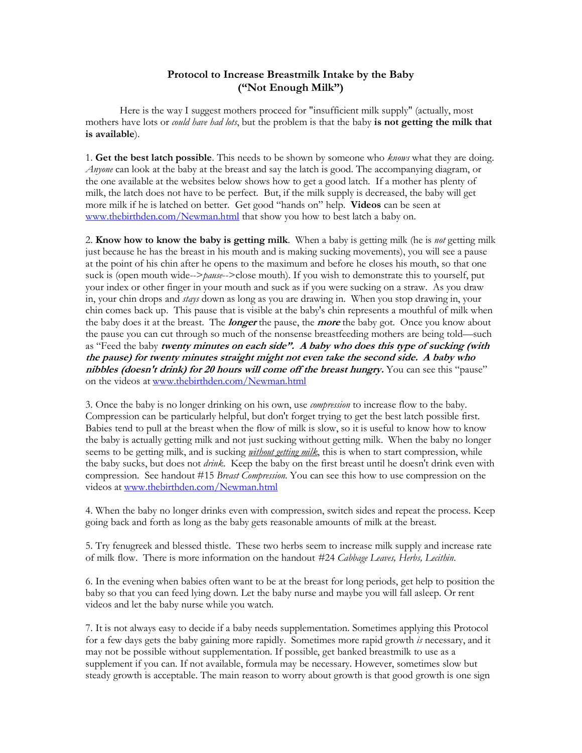## **Protocol to Increase Breastmilk Intake by the Baby ("Not Enough Milk")**

Here is the way I suggest mothers proceed for "insufficient milk supply" (actually, most mothers have lots or *could have had lots*, but the problem is that the baby **is not getting the milk that is available**).

1. **Get the best latch possible**. This needs to be shown by someone who *knows* what they are doing. *Anyone* can look at the baby at the breast and say the latch is good. The accompanying diagram, or the one available at the websites below shows how to get a good latch. If a mother has plenty of milk, the latch does not have to be perfect. But, if the milk supply is decreased, the baby will get more milk if he is latched on better. Get good "hands on" help. **Videos** can be seen at [www.thebirthden.com/Newman.html](http://www.thebirthden.com/Newman.html) that show you how to best latch a baby on.

2. **Know how to know the baby is getting milk**. When a baby is getting milk (he is *not* getting milk just because he has the breast in his mouth and is making sucking movements), you will see a pause at the point of his chin after he opens to the maximum and before he closes his mouth, so that one suck is (open mouth wide-->*pause*-->close mouth). If you wish to demonstrate this to yourself, put your index or other finger in your mouth and suck as if you were sucking on a straw. As you draw in, your chin drops and *stays* down as long as you are drawing in. When you stop drawing in, your chin comes back up. This pause that is visible at the baby's chin represents a mouthful of milk when the baby does it at the breast. The **longer** the pause, the **more** the baby got. Once you know about the pause you can cut through so much of the nonsense breastfeeding mothers are being told—such as "Feed the baby **twenty minutes on each side". A baby who does this type of sucking (with the pause) for twenty minutes straight might not even take the second side. A baby who nibbles (doesn't drink) for 20 hours will come off the breast hungry.** You can see this "pause" on the videos at [www.thebirthden.com/Newman.html](http://www.thebirthden.com/Newman.html)

3. Once the baby is no longer drinking on his own, use *compression* to increase flow to the baby. Compression can be particularly helpful, but don't forget trying to get the best latch possible first. Babies tend to pull at the breast when the flow of milk is slow, so it is useful to know how to know the baby is actually getting milk and not just sucking without getting milk. When the baby no longer seems to be getting milk, and is sucking *without getting milk*, this is when to start compression, while the baby sucks, but does not *drink*. Keep the baby on the first breast until he doesn't drink even with compression. See handout #15 *Breast Compression.* You can see this how to use compression on the videos at [www.thebirthden.com/Newman.html](http://www.thebirthden.com/Newman.html)

4. When the baby no longer drinks even with compression, switch sides and repeat the process. Keep going back and forth as long as the baby gets reasonable amounts of milk at the breast.

5. Try fenugreek and blessed thistle. These two herbs seem to increase milk supply and increase rate of milk flow. There is more information on the handout *#*24 *Cabbage Leaves, Herbs, Lecithin.*

6. In the evening when babies often want to be at the breast for long periods, get help to position the baby so that you can feed lying down. Let the baby nurse and maybe you will fall asleep. Or rent videos and let the baby nurse while you watch.

7. It is not always easy to decide if a baby needs supplementation. Sometimes applying this Protocol for a few days gets the baby gaining more rapidly. Sometimes more rapid growth *is* necessary, and it may not be possible without supplementation. If possible, get banked breastmilk to use as a supplement if you can. If not available, formula may be necessary. However, sometimes slow but steady growth is acceptable. The main reason to worry about growth is that good growth is one sign